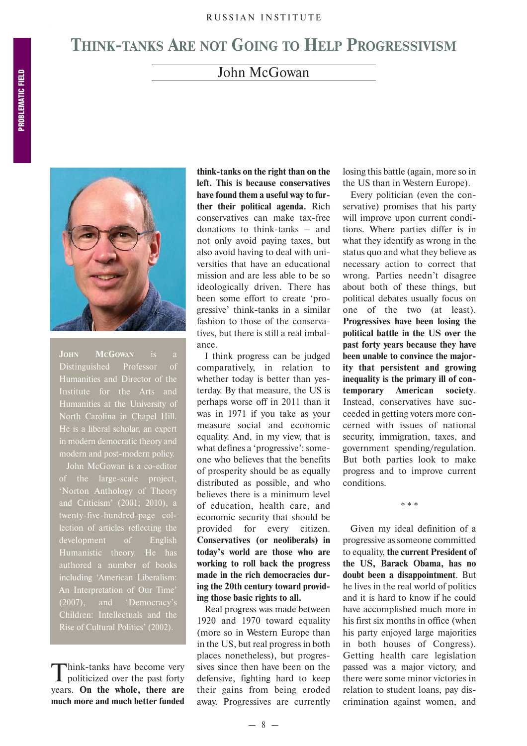## **THINK-TANKS ARE NOT GOING TO HELP PROGRESSIVISM**

## John McGowan



**JOHN MCGOWAN** is a Distinguished Professor of Humanities and Director of the Institute for the Arts and Humanities at the University of North Carolina in Chapel Hill. He is a liberal scholar, an expert in modern democratic theory and modern and post-modern policy.

of the large-scale project, 'Norton Anthology of Theory twenty-five-hundred-page collection of articles reflecting the development of English authored a number of books including 'American Liberalism: An Interpretation of Our Time' (2007), and 'Democracy's Children: Intellectuals and the Rise of Cultural Politics' (2002).

Think-tanks have become very<br>politicized over the past forty years. **On the whole, there are much more and much better funded** **think-tanks on the right than on the left. This is because conservatives have found them a useful way to fur ther their political agenda.** Rich conservatives can make tax-free donations to think-tanks  $-$  and not only avoid paying taxes, but also avoid having to deal with uni versities that have an educational mission and are less able to be so ideologically driven. There has been some effort to create 'pro gressive' think-tanks in a similar fashion to those of the conserva tives, but there is still a real imbal ance.

I think progress can be judged comparatively, in relation to whether today is better than yes terday. By that measure, the US is perhaps worse off in 2011 than it was in 1971 if you take as your measure social and economic equality. And, in my view, that is what defines a 'progressive': some one who believes that the benefits of prosperity should be as equally distributed as possible, and who believes there is a minimum level of education, health care, and economic security that should be provided for every citizen. **Conservatives (or neoliberals) in today's world are those who are working to roll back the progress made in the rich democracies dur ing the 20th century toward provid ing those basic rights to all.** 

Real progress was made between 1920 and 1970 toward equality (more so in Western Europe than in the US, but real progress in both places nonetheless), but progres sives since then have been on the defensive, fighting hard to keep their gains from being eroded away. Progressives are currently

losing this battle (again, more so in the US than in Western Europe).

Every politician (even the con servative) promises that his party will improve upon current condi tions. Where parties differ is in what they identify as wrong in the status quo and what they believe as necessary action to correct that wrong. Parties needn't disagree about both of these things, but political debates usually focus on one of the two (at least). **Progressives have been losing the political battle in the US over the past forty years because they have been unable to convince the major ity that persistent and growing inequality is the primary ill of con temporary American society**. Instead, conservatives have suc ceeded in getting voters more con cerned with issues of national security, immigration, taxes, and government spending/regulation. But both parties look to make progress and to improve current conditions.

Given my ideal definition of a progressive as someone committed to equality, **the current President of the US, Barack Obama, has no doubt been a disappointment**. But he lives in the real world of politics and it is hard to know if he could have accomplished much more in his first six months in office (when his party enjoyed large majorities in both houses of Congress). Getting health care legislation passed was a major victory, and there were some minor victories in relation to student loans, pay dis crimination against women, and

\* \* \*